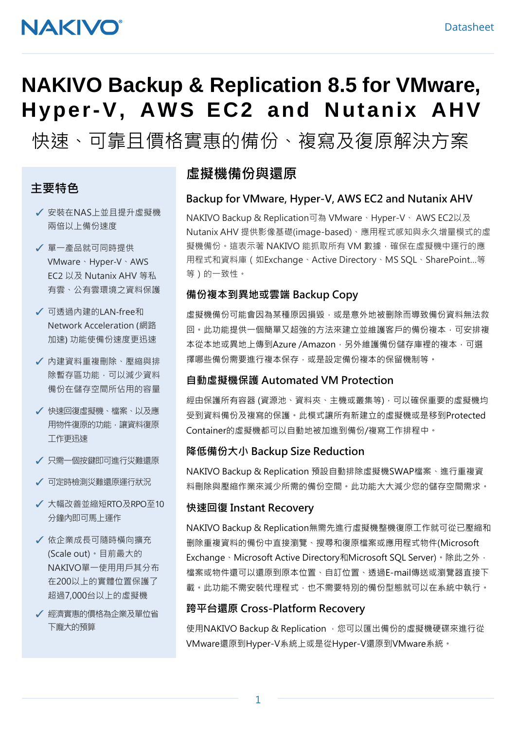# **NAKIVO**

# **NAKIVO Backup & Replication 8.5 for VMware, Hyper-V, AWS EC2 and Nutanix AHV**

# 快速、可靠且價格實惠的備份、複寫及復原解決方案

#### 主要特色

- ✓ 安裝在NAS上並且提升虛擬機 兩倍以上備份速度
- ✓ 單一產品就可同時提供 VMware、Hyper-V、AWS EC2 以及 Nutanix AHV 等私 有雲、公有雲環境之資料保護
- ✓ 可透過內建的LAN-free和 Network Acceleration (網路 加速) 功能使備份速度更迅速
- ✓ 內建資料重複刪除、壓縮與排 除暫存區功能,可以減少資料 備份在儲存空間所佔用的容量
- ✓ 快速回復虛擬機、檔案、以及應 用物件復原的功能,讓資料復原 工作更迅速
- ✓ 只需一個按鍵即可進行災難還原
- ✓ 可定時檢測災難還原運行狀況
- ✓ 大幅改善並縮短RTO及RPO至10 分鐘內即可馬上運作
- ✓ 依企業成長可隨時橫向擴充 (Scale out)。目前最大的 NAKIVO單一使用用戶其分布 在200以上的實體位置保護了 超過7,000台以上的虛擬機
- ✓ 經濟實惠的價格為企業及單位省 下龐大的預算

### 虛擬機備份與還原

#### Backup for VMware, Hyper-V, AWS EC2 and Nutanix AHV

NAKIVO Backup & Replication可為 VMware、Hyper-V、 AWS EC2以及 Nutanix AHV 提供影像基礎(image-based)、應用程式感知與永久增量模式的虛 擬機備份。這表示著 NAKIVO 能抓取所有 VM 數據,確保在虛擬機中運行的應 用程式和資料庫(如Exchange、Active Directory、MS SQL、SharePoint…等 等)的一致性。

#### 備份複本到異地或雲端 Backup Copy

虛擬機備份可能會因為某種原因損毀,或是意外地被删除而導致備份資料無法救 回。此功能提供一個簡單又超強的方法來建立並維護客戶的備份複本,可安排複 本從本地或異地上傳到Azure /Amazon, 另外維護備份儲存庫裡的複本, 可選 擇哪些備份需要進行複本保存,或是設定備份複本的保留機制等。

#### 自動虛擬機保護 Automated VM Protection

經由保護所有容器 (資源池、資料夾、主機或叢集等),可以確保重要的虛擬機均 受到資料備份及複寫的保護。此模式讓所有新建立的虛擬機或是移到Protected Container的虛擬機都可以自動地被加進到備份/複寫工作排程中。

#### 降低備份大小 Backup Size Reduction

NAKIVO Backup & Replication 預設自動排除虛擬機SWAP檔案、進行重複資 料刪除與壓縮作業來減少所需的備份空間。此功能大大減少您的儲存空間需求。

#### 快速回復 Instant Recovery

NAKIVO Backup & Replication無需先進行虛擬機整機復原工作就可從已壓縮和 删除重複資料的備份中直接瀏覽、搜尋和復原檔案或應用程式物件(Microsoft Exchange、Microsoft Active Directory和Microsoft SQL Server)。除此之外, 檔案或物件還可以還原到原本位置、自訂位置、透過E-mail傳送或瀏覽器直接下 載。此功能不需安裝代理程式,也不需要特別的備份型態就可以在系統中執行。

#### 跨平台還原 Cross-Platform Recovery

使用NAKIVO Backup & Replication ,您可以匯出備份的虛擬機硬碟來進行從 VMware還原到Hyper-V系統上或是從Hyper-V還原到VMware系統。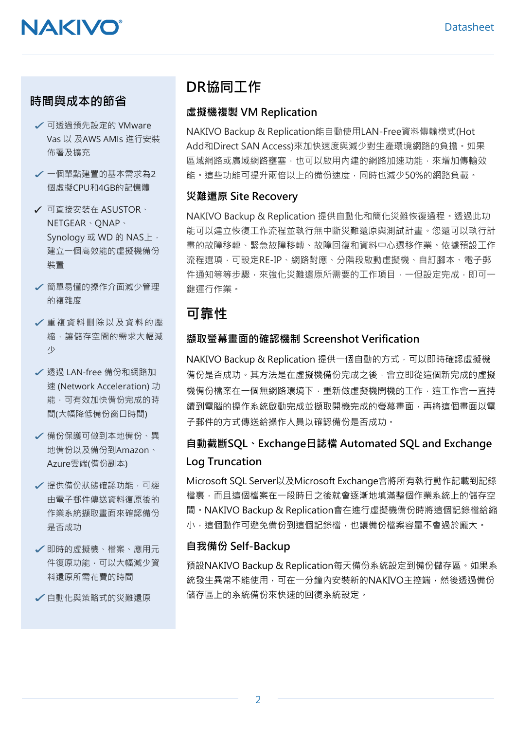#### 時間與成本的節省

- ✓可透過預先設定的 VMware Vas 以 及AWS AMIs 進行安裝 佈署及擴充
- ✓一個單點建置的基本需求為<sup>2</sup> 個虛擬CPU和4GB的記憶體
- ✓ 可直接安裝在 ASUSTOR、 NETGEAR、QNAP、 Synology 或 WD 的 NAS上, 建立一個高效能的虛擬機備份 裝置
- ✓簡單易懂的操作介面減少管理 的複雜度
- ✓重複資料刪除以及資料的壓 縮,讓儲存空間的需求大幅減 少
- ✓透過 LAN-free 備份和網路加 速 (Network Acceleration) 功 能,可有效加快備份完成的時 間(大幅降低備份窗口時間)
- ✔ 備份保護可做到本地備份、異 地備份以及備份到Amazon、 Azure雲端(備份副本)
- ✔ 提供備份狀態確認功能,可經 由電子郵件傳送資料復原後的 作業系統擷取畫面來確認備份 是否成功
- ✓即時的虛擬機、檔案、應用元 件復原功能,可以大幅減少資 料還原所需花費的時間
- ✓自動化與策略式的災難還原

## DR協同工作

#### 虛擬機複製 VM Replication

NAKIVO Backup & Replication能自動使用LAN-Free資料傳輸模式(Hot Add和Direct SAN Access)來加快速度與減少對生產環境網路的負擔。如果 區域網路或廣域網路壅塞,也可以啟用內建的網路加速功能,來增加傳輸效 能。這些功能可提升兩倍以上的備份速度,同時也減少50%的網路負載。

#### 災難還原 Site Recovery

NAKIVO Backup & Replication 提供自動化和簡化災難恢復過程。透過此功 能可以建立恢復工作流程並執行無中斷災難還原與測試計畫。您還可以執行計 畫的故障移轉、緊急故障移轉、故障回復和資料中心遷移作業。依據預設工作 流程選項,可設定RE-IP、網路對應、分階段啟動虛擬機、自訂腳本、電子郵 件通知等等步驟,來強化災難還原所需要的工作項目,一但設定完成,即可一 鍵運行作業。

## 可靠性

#### 擷取螢幕畫面的確認機制 Screenshot Verification

NAKIVO Backup & Replication 提供一個自動的方式,可以即時確認虛擬機 備份是否成功。其方法是在虛擬機備份完成之後,會立即從這個新完成的虛擬 機備份檔案在一個無網路環境下,重新做虛擬機開機的工作,這工作會一直持 續到電腦的操作系統啟動完成並擷取開機完成的螢幕畫面,再將這個畫面以電 子郵件的方式傳送給操作人員以確認備份是否成功。

## 自動截斷SQL、Exchange日誌檔 Automated SQL and Exchange Log Truncation

Microsoft SQL Server以及Microsoft Exchange會將所有執行動作記載到記錄 檔裏,而且這個檔案在一段時日之後就會逐漸地填滿整個作業系統上的儲存空 間。NAKIVO Backup & Replication會在進行虛擬機備份時將這個記錄檔給縮 小,這個動作可避免備份到這個記錄檔,也讓備份檔案容量不會過於龐大。

#### 自我備份 Self-Backup

預設NAKIVO Backup & Replication每天備份系統設定到備份儲存區。如果系 統發生異常不能使用,可在一分鐘內安裝新的NAKIVO主控端,然後透過備份 儲存區上的系統備份來快速的回復系統設定。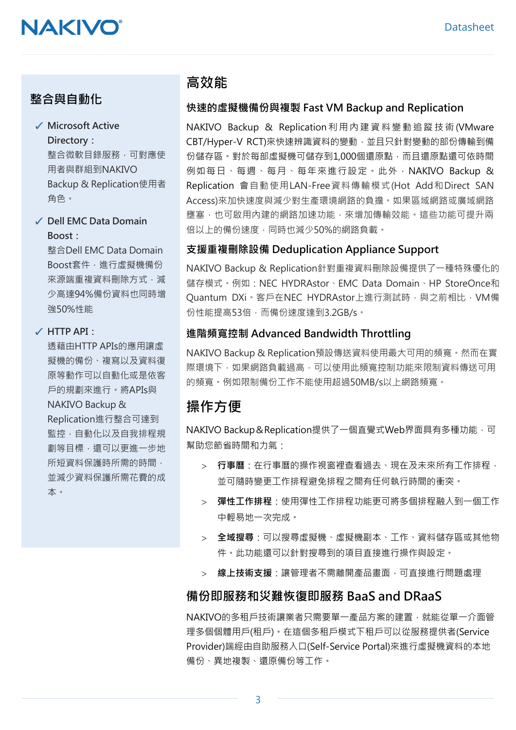# **NAKIVO**

### 整合與自動化

#### ✓ Microsoft Active Directory:

整合微軟目錄服務,可對應使 用者與群組到NAKIVO Backup & Replication使用者 角色。

#### ✓ Dell EMC Data Domain Boost:

整合Dell EMC Data Domain Boost套件,進行虛擬機備份 來源端重複資料刪除方式,減 少高達94%備份資料也同時增 強50%性能

#### ✓ HTTP API:

透藉由HTTP APIs的應用讓虛 擬機的備份、複寫以及資料復 原等動作可以自動化或是依客 戶的規劃來進行。將APIs與 NAKIVO Backup & Replication進行整合可達到 監控,自動化以及自我排程規 劃等目標,還可以更進一步地 所短資料保護時所需的時間, 並減少資料保護所需花費的成 本。

### 高效能

#### 快速的虛擬機備份與複製 Fast VM Backup and Replication

NAKIVO Backup & Replication 利用內建資料變動追蹤技術 (VMware CBT/Hyper-V RCT)來快速辨識資料的變動,並且只針對變動的部份傳輸到備 份儲存區。對於每部虛擬機可儲存到1,000個還原點,而且還原點還可依時間 例如每日、每週、每月、每年來進行設定。此外, NAKIVO Backup & Replication 會自動使用LAN-Free資料傳輸模式(Hot Add和Direct SAN Access)來加快速度與減少對生產環境網路的負擔。如果區域網路或廣域網路 壅塞,也可啟用內建的網路加速功能,來增加傳輸效能。這些功能可提升兩 倍以上的備份速度,同時也減少50%的網路負載。

#### 支援重複刪除設備 Deduplication Appliance Support

NAKIVO Backup & Replication針對重複資料刪除設備提供了一種特殊優化的 儲存模式。例如:NEC HYDRAstor、EMC Data Domain、HP StoreOnce和 Ouantum DXi。客戶在NEC HYDRAstor上進行測試時,與之前相比,VM備 份性能提高53倍,而備份速度達到3.2GB/s。

#### 進階頻寬控制 Advanced Bandwidth Throttling

NAKIVO Backup & Replication預設傳送資料使用最大可用的頻寬。然而在實 際環境下,如果網路負載過高,可以使用此頻寬控制功能來限制資料傳送可用 的頻寬。例如限制備份工作不能使用超過50MB/s以上網路頻寬。

## 操作方便

NAKIVO Backup&Replication提供了一個直覺式Web界面具有多種功能,可 幫助您節省時間和力氣:

- > 行事曆:在行事曆的操作視窗裡查看過去、現在及未來所有工作排程, 並可隨時變更工作排程避免排程之間有任何執行時間的衝突。
- 彈性工作排程:使用彈性工作排程功能更可將多個排程融入到一個工作 中輕易地一次完成。
- 全域搜尋:可以搜尋虛擬機、虛擬機副本、工作、資料儲存區或其他物 件。此功能還可以針對搜尋到的項目直接進行操作與設定。
- > 線上技術支援:讓管理者不需離開產品畫面,可直接進行問題處理

#### 備份即服務和災難恢復即服務 BaaS and DRaaS

NAKIVO的多租戶技術讓業者只需要單一產品方案的建置,就能從單一介面管 理多個個體用戶(租戶)。在這個多租戶模式下租戶可以從服務提供者(Service Provider)端經由自助服務入口(Self-Service Portal)來進行虛擬機資料的本地 備份、異地複製、還原備份等工作。